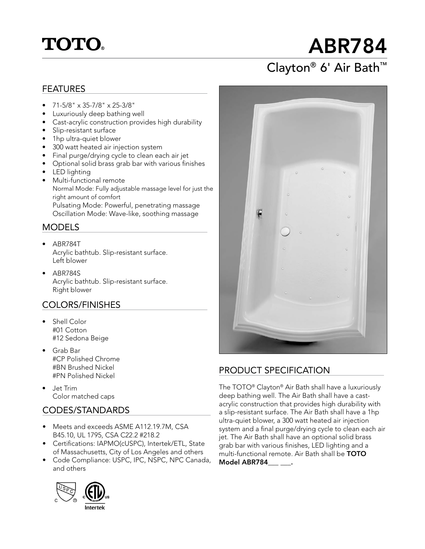## **TOTO.**

# ABR784

### Clayton® 6' Air Bath™

#### FEATURES

- $\bullet$  71-5/8" x 35-7/8" x 25-3/8"
- Luxuriously deep bathing well
- Cast-acrylic construction provides high durability
- Slip-resistant surface
- 1hp ultra-quiet blower
- 300 watt heated air injection system
- Final purge/drying cycle to clean each air jet
- Optional solid brass grab bar with various finishes
- LED lighting
- Multi-functional remote Normal Mode: Fully adjustable massage level for just the right amount of comfort Pulsating Mode: Powerful, penetrating massage Oscillation Mode: Wave-like, soothing massage

#### MODELS

- ABR784T Acrylic bathtub. Slip-resistant surface. Left blower
- ABR784S Acrylic bathtub. Slip-resistant surface. Right blower

#### COLORS/FINISHES

- Shell Color #01 Cotton #12 Sedona Beige
- Grab Bar #CP Polished Chrome #BN Brushed Nickel #PN Polished Nickel
- Jet Trim Color matched caps

#### CODES/STANDARDS

- Meets and exceeds ASME A112.19.7M, CSA B45.10, UL 1795, CSA C22.2 #218.2
- Certifications: IAPMO(cUSPC), Intertek/ETL, State of Massachusetts, City of Los Angeles and others
- Code Compliance: USPC, IPC, NSPC, NPC Canada, and others





#### PRODUCT SPECIFICATION

The TOTO® Clayton® Air Bath shall have a luxuriously deep bathing well. The Air Bath shall have a castacrylic construction that provides high durability with a slip-resistant surface. The Air Bath shall have a 1hp ultra-quiet blower, a 300 watt heated air injection system and a final purge/drying cycle to clean each air jet. The Air Bath shall have an optional solid brass grab bar with various finishes, LED lighting and a multi-functional remote. Air Bath shall be  $\text{TOTO}$ Model ABR784 .